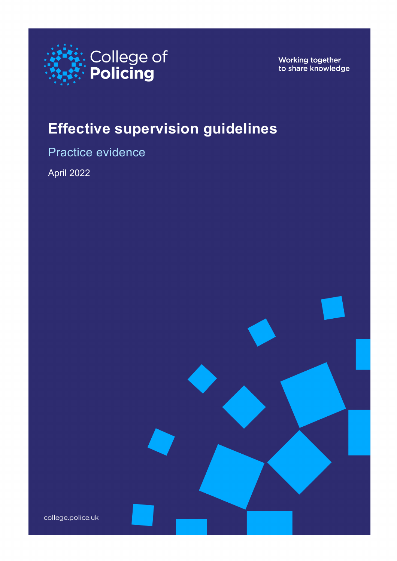

Working together to share knowledge

# **Effective supervision guidelines**

Practice evidence

April 2022

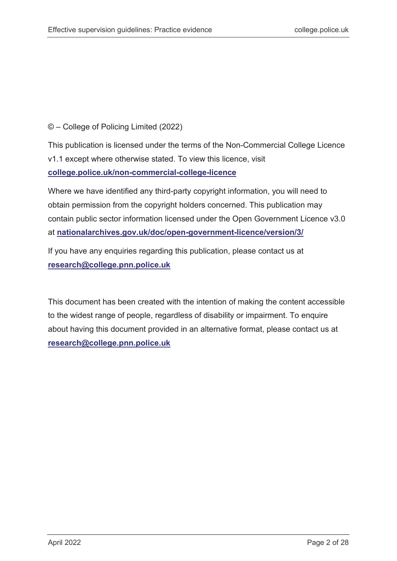#### © – College of Policing Limited (2022)

This publication is licensed under the terms of the Non-Commercial College Licence v1.1 except where otherwise stated. To view this licence, visit **[college.police.uk/non-commercial-college-licence](https://www.college.police.uk/non-commercial-college-licence)**

Where we have identified any third-party copyright information, you will need to obtain permission from the copyright holders concerned. This publication may contain public sector information licensed under the Open Government Licence v3.0 at **[nationalarchives.gov.uk/doc/open-government-licence/version/3/](http://www.nationalarchives.gov.uk/doc/open-government-licence/version/3/)**

If you have any enquiries regarding this publication, please contact us at **[research@college.pnn.police.uk](mailto:research@college.pnn.police.uk)**

This document has been created with the intention of making the content accessible to the widest range of people, regardless of disability or impairment. To enquire about having this document provided in an alternative format, please contact us at **[research@college.pnn.police.uk](mailto:research@college.pnn.police.uk)**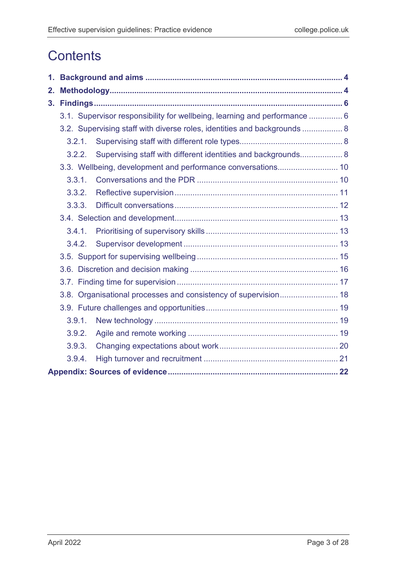# **Contents**

| 2. |                                                                           |                                                                          |  |  |  |
|----|---------------------------------------------------------------------------|--------------------------------------------------------------------------|--|--|--|
|    |                                                                           |                                                                          |  |  |  |
|    | 3.1. Supervisor responsibility for wellbeing, learning and performance  6 |                                                                          |  |  |  |
|    |                                                                           | 3.2. Supervising staff with diverse roles, identities and backgrounds  8 |  |  |  |
|    | 3.2.1.                                                                    |                                                                          |  |  |  |
|    | 3.2.2.                                                                    | Supervising staff with different identities and backgrounds 8            |  |  |  |
|    |                                                                           |                                                                          |  |  |  |
|    | 3.3.1.                                                                    |                                                                          |  |  |  |
|    | 3.3.2.                                                                    |                                                                          |  |  |  |
|    | 3.3.3.                                                                    |                                                                          |  |  |  |
|    |                                                                           |                                                                          |  |  |  |
|    | 3.4.1.                                                                    |                                                                          |  |  |  |
|    | 3.4.2.                                                                    |                                                                          |  |  |  |
|    |                                                                           |                                                                          |  |  |  |
|    |                                                                           |                                                                          |  |  |  |
|    |                                                                           |                                                                          |  |  |  |
|    |                                                                           | 3.8. Organisational processes and consistency of supervision 18          |  |  |  |
|    |                                                                           |                                                                          |  |  |  |
|    | 3.9.1.                                                                    |                                                                          |  |  |  |
|    | 3.9.2.                                                                    |                                                                          |  |  |  |
|    | 3.9.3.                                                                    |                                                                          |  |  |  |
|    | 3.9.4.                                                                    |                                                                          |  |  |  |
|    |                                                                           |                                                                          |  |  |  |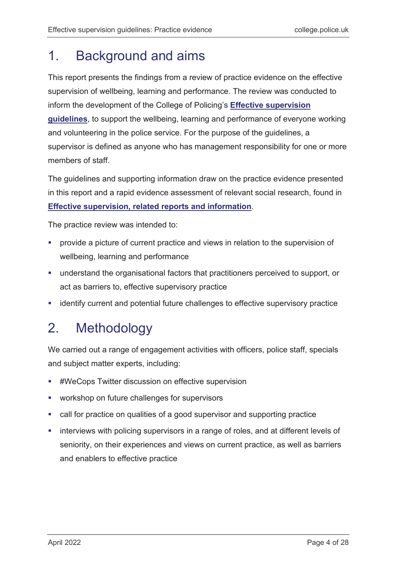## <span id="page-3-0"></span>1. Background and aims

This report presents the findings from a review of practice evidence on the effective supervision of wellbeing, learning and performance. The review was conducted to inform the development of the College of Policing's **[Effective supervision](https://www.college.police.uk/guidance/effective-supervision)  [guidelines](https://www.college.police.uk/guidance/effective-supervision)**, to support the wellbeing, learning and performance of everyone working and volunteering in the police service. For the purpose of the guidelines, a supervisor is defined as anyone who has management responsibility for one or more members of staff.

The guidelines and supporting information draw on the practice evidence presented in this report and a rapid evidence assessment of relevant social research, found in **[Effective supervision, related reports and information](https://www.college.police.uk/guidance/effective-supervision)**.

The practice review was intended to:

- **PEDEPTION** provide a picture of current practice and views in relation to the supervision of wellbeing, learning and performance
- understand the organisational factors that practitioners perceived to support, or act as barriers to, effective supervisory practice
- **EXEDENTIFY** current and potential future challenges to effective supervisory practice

# <span id="page-3-1"></span>2. Methodology

We carried out a range of engagement activities with officers, police staff, specials and subject matter experts, including:

- #WeCops Twitter discussion on effective supervision
- **•** workshop on future challenges for supervisors
- call for practice on qualities of a good supervisor and supporting practice
- **EXEDENT III** interviews with policing supervisors in a range of roles, and at different levels of seniority, on their experiences and views on current practice, as well as barriers and enablers to effective practice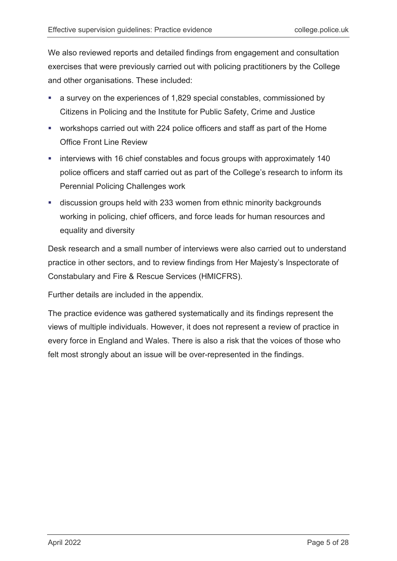We also reviewed reports and detailed findings from engagement and consultation exercises that were previously carried out with policing practitioners by the College and other organisations. These included:

- a survey on the experiences of 1,829 special constables, commissioned by Citizens in Policing and the Institute for Public Safety, Crime and Justice
- workshops carried out with 224 police officers and staff as part of the Home Office Front Line Review
- **EXEDENT IF CONSTART IN A** interviews with 16 chief constables and focus groups with approximately 140 police officers and staff carried out as part of the College's research to inform its Perennial Policing Challenges work
- discussion groups held with 233 women from ethnic minority backgrounds working in policing, chief officers, and force leads for human resources and equality and diversity

Desk research and a small number of interviews were also carried out to understand practice in other sectors, and to review findings from Her Majesty's Inspectorate of Constabulary and Fire & Rescue Services (HMICFRS).

Further details are included in the appendix.

The practice evidence was gathered systematically and its findings represent the views of multiple individuals. However, it does not represent a review of practice in every force in England and Wales. There is also a risk that the voices of those who felt most strongly about an issue will be over-represented in the findings.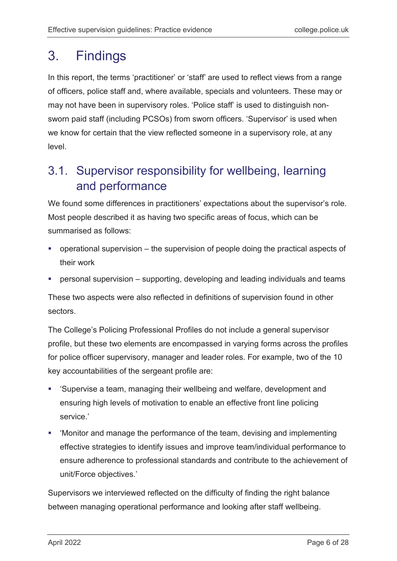## <span id="page-5-0"></span>3. Findings

In this report, the terms 'practitioner' or 'staff' are used to reflect views from a range of officers, police staff and, where available, specials and volunteers. These may or may not have been in supervisory roles. 'Police staff' is used to distinguish nonsworn paid staff (including PCSOs) from sworn officers. 'Supervisor' is used when we know for certain that the view reflected someone in a supervisory role, at any level.

## <span id="page-5-1"></span>3.1. Supervisor responsibility for wellbeing, learning and performance

We found some differences in practitioners' expectations about the supervisor's role. Most people described it as having two specific areas of focus, which can be summarised as follows:

- operational supervision the supervision of people doing the practical aspects of their work
- personal supervision supporting, developing and leading individuals and teams

These two aspects were also reflected in definitions of supervision found in other sectors.

The College's Policing Professional Profiles do not include a general supervisor profile, but these two elements are encompassed in varying forms across the profiles for police officer supervisory, manager and leader roles. For example, two of the 10 key accountabilities of the sergeant profile are:

- 'Supervise a team, managing their wellbeing and welfare, development and ensuring high levels of motivation to enable an effective front line policing service.'
- 'Monitor and manage the performance of the team, devising and implementing effective strategies to identify issues and improve team/individual performance to ensure adherence to professional standards and contribute to the achievement of unit/Force objectives.'

Supervisors we interviewed reflected on the difficulty of finding the right balance between managing operational performance and looking after staff wellbeing.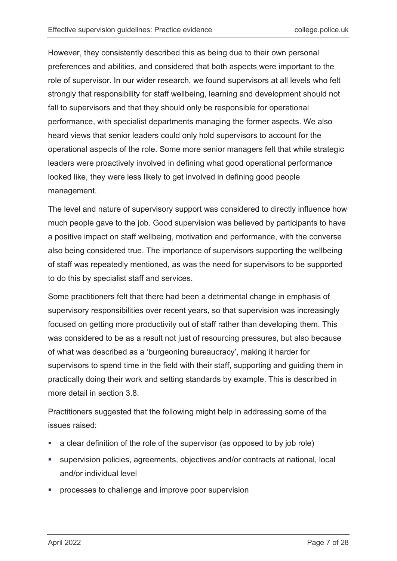However, they consistently described this as being due to their own personal preferences and abilities, and considered that both aspects were important to the role of supervisor. In our wider research, we found supervisors at all levels who felt strongly that responsibility for staff wellbeing, learning and development should not fall to supervisors and that they should only be responsible for operational performance, with specialist departments managing the former aspects. We also heard views that senior leaders could only hold supervisors to account for the operational aspects of the role. Some more senior managers felt that while strategic leaders were proactively involved in defining what good operational performance looked like, they were less likely to get involved in defining good people management.

The level and nature of supervisory support was considered to directly influence how much people gave to the job. Good supervision was believed by participants to have a positive impact on staff wellbeing, motivation and performance, with the converse also being considered true. The importance of supervisors supporting the wellbeing of staff was repeatedly mentioned, as was the need for supervisors to be supported to do this by specialist staff and services.

Some practitioners felt that there had been a detrimental change in emphasis of supervisory responsibilities over recent years, so that supervision was increasingly focused on getting more productivity out of staff rather than developing them. This was considered to be as a result not just of resourcing pressures, but also because of what was described as a 'burgeoning bureaucracy', making it harder for supervisors to spend time in the field with their staff, supporting and guiding them in practically doing their work and setting standards by example. This is described in more detail in section 3.8.

Practitioners suggested that the following might help in addressing some of the issues raised:

- a clear definition of the role of the supervisor (as opposed to by job role)
- supervision policies, agreements, objectives and/or contracts at national, local and/or individual level
- processes to challenge and improve poor supervision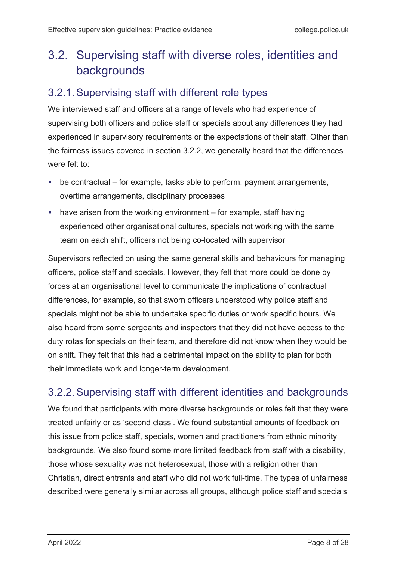## <span id="page-7-0"></span>3.2. Supervising staff with diverse roles, identities and backgrounds

#### <span id="page-7-1"></span>3.2.1.Supervising staff with different role types

We interviewed staff and officers at a range of levels who had experience of supervising both officers and police staff or specials about any differences they had experienced in supervisory requirements or the expectations of their staff. Other than the fairness issues covered in section 3.2.2, we generally heard that the differences were felt to:

- be contractual for example, tasks able to perform, payment arrangements, overtime arrangements, disciplinary processes
- **•** have arisen from the working environment for example, staff having experienced other organisational cultures, specials not working with the same team on each shift, officers not being co-located with supervisor

Supervisors reflected on using the same general skills and behaviours for managing officers, police staff and specials. However, they felt that more could be done by forces at an organisational level to communicate the implications of contractual differences, for example, so that sworn officers understood why police staff and specials might not be able to undertake specific duties or work specific hours. We also heard from some sergeants and inspectors that they did not have access to the duty rotas for specials on their team, and therefore did not know when they would be on shift. They felt that this had a detrimental impact on the ability to plan for both their immediate work and longer-term development.

### <span id="page-7-2"></span>3.2.2.Supervising staff with different identities and backgrounds

We found that participants with more diverse backgrounds or roles felt that they were treated unfairly or as 'second class'. We found substantial amounts of feedback on this issue from police staff, specials, women and practitioners from ethnic minority backgrounds. We also found some more limited feedback from staff with a disability, those whose sexuality was not heterosexual, those with a religion other than Christian, direct entrants and staff who did not work full-time. The types of unfairness described were generally similar across all groups, although police staff and specials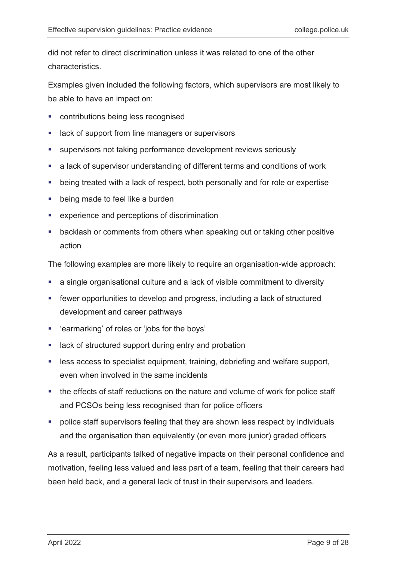did not refer to direct discrimination unless it was related to one of the other characteristics.

Examples given included the following factors, which supervisors are most likely to be able to have an impact on:

- **EXECONTRIBUTIONS DEATS FEEDGEE PROPERTY**
- **EXEC** 1 ack of support from line managers or supervisors
- supervisors not taking performance development reviews seriously
- a lack of supervisor understanding of different terms and conditions of work
- being treated with a lack of respect, both personally and for role or expertise
- **•** being made to feel like a burden
- experience and perceptions of discrimination
- **•** backlash or comments from others when speaking out or taking other positive action

The following examples are more likely to require an organisation-wide approach:

- a single organisational culture and a lack of visible commitment to diversity
- fewer opportunities to develop and progress, including a lack of structured development and career pathways
- 'earmarking' of roles or 'jobs for the boys'
- **EXTER 13 In the Structured support during entry and probation**
- **EXECT** less access to specialist equipment, training, debriefing and welfare support, even when involved in the same incidents
- the effects of staff reductions on the nature and volume of work for police staff and PCSOs being less recognised than for police officers
- **•** police staff supervisors feeling that they are shown less respect by individuals and the organisation than equivalently (or even more junior) graded officers

As a result, participants talked of negative impacts on their personal confidence and motivation, feeling less valued and less part of a team, feeling that their careers had been held back, and a general lack of trust in their supervisors and leaders.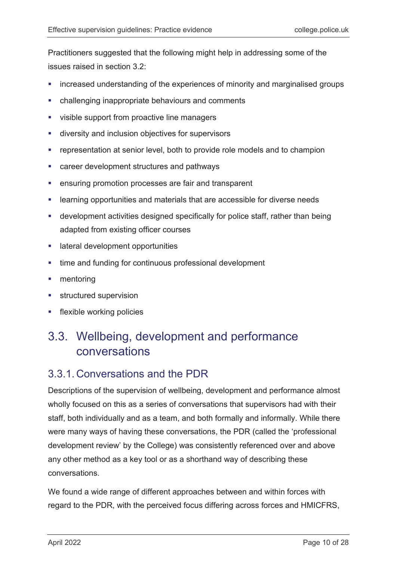Practitioners suggested that the following might help in addressing some of the issues raised in section 3.2:

- increased understanding of the experiences of minority and marginalised groups
- challenging inappropriate behaviours and comments
- visible support from proactive line managers
- diversity and inclusion objectives for supervisors
- **•** representation at senior level, both to provide role models and to champion
- **EXP** career development structures and pathways
- **EXECT:** ensuring promotion processes are fair and transparent
- **EXECTE III EXECTE FOR THE III SUBSET 1** Islaming opportunities and materials that are accessible for diverse needs
- development activities designed specifically for police staff, rather than being adapted from existing officer courses
- **EXECUTE:** lateral development opportunities
- **time and funding for continuous professional development**
- **nentoring**
- **structured supervision**
- **flexible working policies**

## <span id="page-9-0"></span>3.3. Wellbeing, development and performance conversations

#### <span id="page-9-1"></span>3.3.1. Conversations and the PDR

Descriptions of the supervision of wellbeing, development and performance almost wholly focused on this as a series of conversations that supervisors had with their staff, both individually and as a team, and both formally and informally. While there were many ways of having these conversations, the PDR (called the 'professional development review' by the College) was consistently referenced over and above any other method as a key tool or as a shorthand way of describing these conversations.

We found a wide range of different approaches between and within forces with regard to the PDR, with the perceived focus differing across forces and HMICFRS,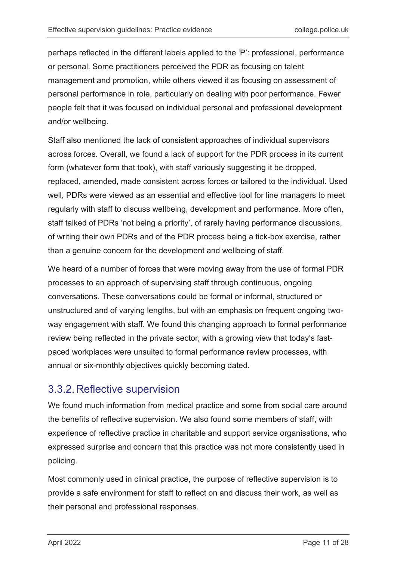perhaps reflected in the different labels applied to the 'P': professional, performance or personal. Some practitioners perceived the PDR as focusing on talent management and promotion, while others viewed it as focusing on assessment of personal performance in role, particularly on dealing with poor performance. Fewer people felt that it was focused on individual personal and professional development and/or wellbeing.

Staff also mentioned the lack of consistent approaches of individual supervisors across forces. Overall, we found a lack of support for the PDR process in its current form (whatever form that took), with staff variously suggesting it be dropped, replaced, amended, made consistent across forces or tailored to the individual. Used well, PDRs were viewed as an essential and effective tool for line managers to meet regularly with staff to discuss wellbeing, development and performance. More often, staff talked of PDRs 'not being a priority', of rarely having performance discussions, of writing their own PDRs and of the PDR process being a tick-box exercise, rather than a genuine concern for the development and wellbeing of staff.

We heard of a number of forces that were moving away from the use of formal PDR processes to an approach of supervising staff through continuous, ongoing conversations. These conversations could be formal or informal, structured or unstructured and of varying lengths, but with an emphasis on frequent ongoing twoway engagement with staff. We found this changing approach to formal performance review being reflected in the private sector, with a growing view that today's fastpaced workplaces were unsuited to formal performance review processes, with annual or six-monthly objectives quickly becoming dated.

#### <span id="page-10-0"></span>3.3.2. Reflective supervision

We found much information from medical practice and some from social care around the benefits of reflective supervision. We also found some members of staff, with experience of reflective practice in charitable and support service organisations, who expressed surprise and concern that this practice was not more consistently used in policing.

Most commonly used in clinical practice, the purpose of reflective supervision is to provide a safe environment for staff to reflect on and discuss their work, as well as their personal and professional responses.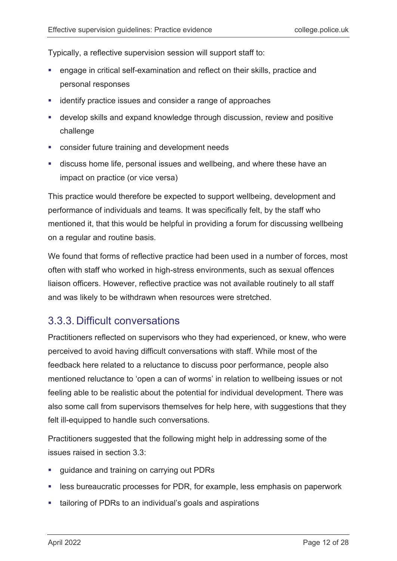Typically, a reflective supervision session will support staff to:

- engage in critical self-examination and reflect on their skills, practice and personal responses
- **EXEDENTIFY STATE ISSUES AND CONSIDER A LARGE APPROACHES**
- develop skills and expand knowledge through discussion, review and positive challenge
- consider future training and development needs
- discuss home life, personal issues and wellbeing, and where these have an impact on practice (or vice versa)

This practice would therefore be expected to support wellbeing, development and performance of individuals and teams. It was specifically felt, by the staff who mentioned it, that this would be helpful in providing a forum for discussing wellbeing on a regular and routine basis.

We found that forms of reflective practice had been used in a number of forces, most often with staff who worked in high-stress environments, such as sexual offences liaison officers. However, reflective practice was not available routinely to all staff and was likely to be withdrawn when resources were stretched.

#### <span id="page-11-0"></span>3.3.3. Difficult conversations

Practitioners reflected on supervisors who they had experienced, or knew, who were perceived to avoid having difficult conversations with staff. While most of the feedback here related to a reluctance to discuss poor performance, people also mentioned reluctance to 'open a can of worms' in relation to wellbeing issues or not feeling able to be realistic about the potential for individual development. There was also some call from supervisors themselves for help here, with suggestions that they felt ill-equipped to handle such conversations.

Practitioners suggested that the following might help in addressing some of the issues raised in section 3.3:

- **guidance and training on carrying out PDRs**
- **EXEL EXE** is bureaucratic processes for PDR, for example, less emphasis on paperwork
- **tailoring of PDRs to an individual's goals and aspirations**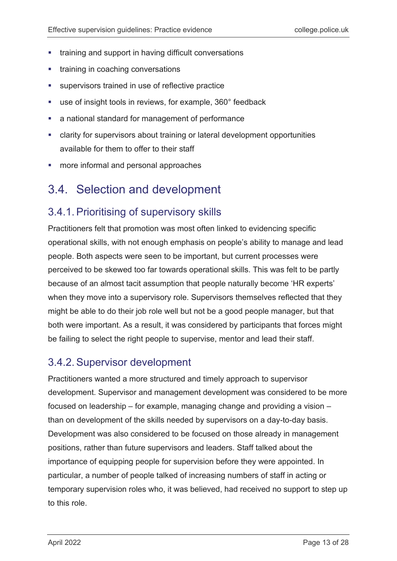- **•** training and support in having difficult conversations
- training in coaching conversations
- supervisors trained in use of reflective practice
- use of insight tools in reviews, for example, 360° feedback
- a national standard for management of performance
- clarity for supervisors about training or lateral development opportunities available for them to offer to their staff
- more informal and personal approaches

## <span id="page-12-0"></span>3.4. Selection and development

### <span id="page-12-1"></span>3.4.1.Prioritising of supervisory skills

Practitioners felt that promotion was most often linked to evidencing specific operational skills, with not enough emphasis on people's ability to manage and lead people. Both aspects were seen to be important, but current processes were perceived to be skewed too far towards operational skills. This was felt to be partly because of an almost tacit assumption that people naturally become 'HR experts' when they move into a supervisory role. Supervisors themselves reflected that they might be able to do their job role well but not be a good people manager, but that both were important. As a result, it was considered by participants that forces might be failing to select the right people to supervise, mentor and lead their staff.

### <span id="page-12-2"></span>3.4.2.Supervisor development

Practitioners wanted a more structured and timely approach to supervisor development. Supervisor and management development was considered to be more focused on leadership – for example, managing change and providing a vision – than on development of the skills needed by supervisors on a day-to-day basis. Development was also considered to be focused on those already in management positions, rather than future supervisors and leaders. Staff talked about the importance of equipping people for supervision before they were appointed. In particular, a number of people talked of increasing numbers of staff in acting or temporary supervision roles who, it was believed, had received no support to step up to this role.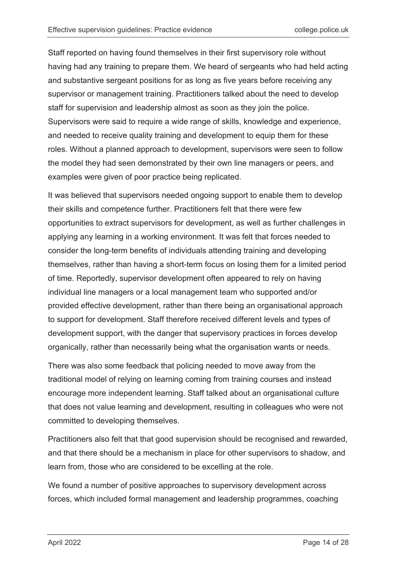Staff reported on having found themselves in their first supervisory role without having had any training to prepare them. We heard of sergeants who had held acting and substantive sergeant positions for as long as five years before receiving any supervisor or management training. Practitioners talked about the need to develop staff for supervision and leadership almost as soon as they join the police. Supervisors were said to require a wide range of skills, knowledge and experience, and needed to receive quality training and development to equip them for these roles. Without a planned approach to development, supervisors were seen to follow the model they had seen demonstrated by their own line managers or peers, and examples were given of poor practice being replicated.

It was believed that supervisors needed ongoing support to enable them to develop their skills and competence further. Practitioners felt that there were few opportunities to extract supervisors for development, as well as further challenges in applying any learning in a working environment. It was felt that forces needed to consider the long-term benefits of individuals attending training and developing themselves, rather than having a short-term focus on losing them for a limited period of time. Reportedly, supervisor development often appeared to rely on having individual line managers or a local management team who supported and/or provided effective development, rather than there being an organisational approach to support for development. Staff therefore received different levels and types of development support, with the danger that supervisory practices in forces develop organically, rather than necessarily being what the organisation wants or needs.

There was also some feedback that policing needed to move away from the traditional model of relying on learning coming from training courses and instead encourage more independent learning. Staff talked about an organisational culture that does not value learning and development, resulting in colleagues who were not committed to developing themselves.

Practitioners also felt that that good supervision should be recognised and rewarded, and that there should be a mechanism in place for other supervisors to shadow, and learn from, those who are considered to be excelling at the role.

We found a number of positive approaches to supervisory development across forces, which included formal management and leadership programmes, coaching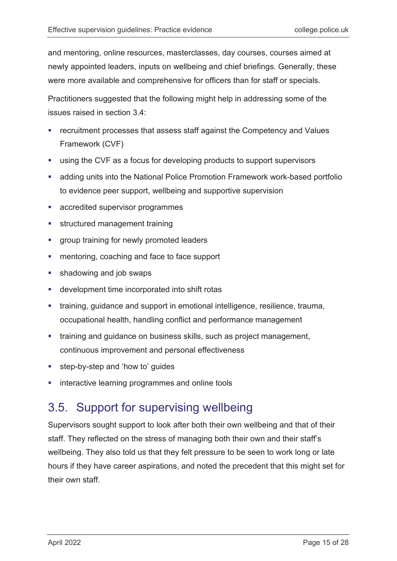and mentoring, online resources, masterclasses, day courses, courses aimed at newly appointed leaders, inputs on wellbeing and chief briefings. Generally, these were more available and comprehensive for officers than for staff or specials.

Practitioners suggested that the following might help in addressing some of the issues raised in section 3.4:

- recruitment processes that assess staff against the Competency and Values Framework (CVF)
- using the CVF as a focus for developing products to support supervisors
- adding units into the National Police Promotion Framework work-based portfolio to evidence peer support, wellbeing and supportive supervision
- **EXEC** accredited supervisor programmes
- **structured management training**
- **group training for newly promoted leaders**
- **EXEC** mentoring, coaching and face to face support
- **shadowing and job swaps**
- development time incorporated into shift rotas
- **tainang, guidance and support in emotional intelligence, resilience, trauma,** occupational health, handling conflict and performance management
- **than-** training and guidance on business skills, such as project management, continuous improvement and personal effectiveness
- step-by-step and 'how to' guides
- **EXECTE interactive learning programmes and online tools**

### <span id="page-14-0"></span>3.5. Support for supervising wellbeing

Supervisors sought support to look after both their own wellbeing and that of their staff. They reflected on the stress of managing both their own and their staff's wellbeing. They also told us that they felt pressure to be seen to work long or late hours if they have career aspirations, and noted the precedent that this might set for their own staff.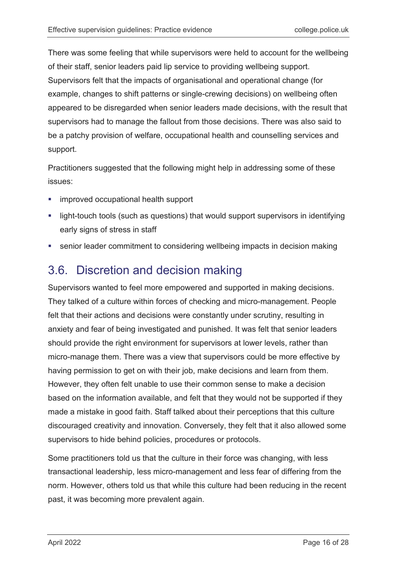There was some feeling that while supervisors were held to account for the wellbeing of their staff, senior leaders paid lip service to providing wellbeing support. Supervisors felt that the impacts of organisational and operational change (for example, changes to shift patterns or single-crewing decisions) on wellbeing often appeared to be disregarded when senior leaders made decisions, with the result that supervisors had to manage the fallout from those decisions. There was also said to be a patchy provision of welfare, occupational health and counselling services and support.

Practitioners suggested that the following might help in addressing some of these issues:

- **EXECUTE:** improved occupational health support
- **EXT** light-touch tools (such as questions) that would support supervisors in identifying early signs of stress in staff
- senior leader commitment to considering wellbeing impacts in decision making

## <span id="page-15-0"></span>3.6. Discretion and decision making

Supervisors wanted to feel more empowered and supported in making decisions. They talked of a culture within forces of checking and micro-management. People felt that their actions and decisions were constantly under scrutiny, resulting in anxiety and fear of being investigated and punished. It was felt that senior leaders should provide the right environment for supervisors at lower levels, rather than micro-manage them. There was a view that supervisors could be more effective by having permission to get on with their job, make decisions and learn from them. However, they often felt unable to use their common sense to make a decision based on the information available, and felt that they would not be supported if they made a mistake in good faith. Staff talked about their perceptions that this culture discouraged creativity and innovation. Conversely, they felt that it also allowed some supervisors to hide behind policies, procedures or protocols.

Some practitioners told us that the culture in their force was changing, with less transactional leadership, less micro-management and less fear of differing from the norm. However, others told us that while this culture had been reducing in the recent past, it was becoming more prevalent again.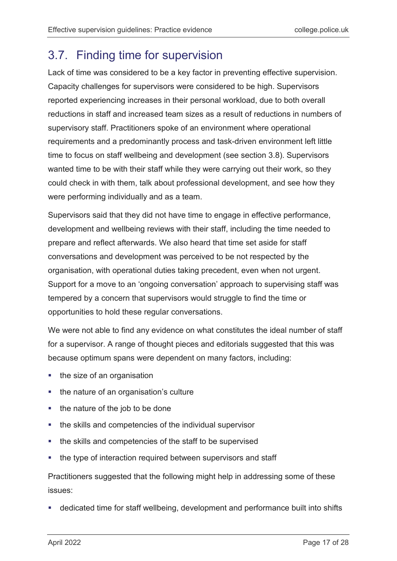## <span id="page-16-0"></span>3.7. Finding time for supervision

Lack of time was considered to be a key factor in preventing effective supervision. Capacity challenges for supervisors were considered to be high. Supervisors reported experiencing increases in their personal workload, due to both overall reductions in staff and increased team sizes as a result of reductions in numbers of supervisory staff. Practitioners spoke of an environment where operational requirements and a predominantly process and task-driven environment left little time to focus on staff wellbeing and development (see section 3.8). Supervisors wanted time to be with their staff while they were carrying out their work, so they could check in with them, talk about professional development, and see how they were performing individually and as a team.

Supervisors said that they did not have time to engage in effective performance, development and wellbeing reviews with their staff, including the time needed to prepare and reflect afterwards. We also heard that time set aside for staff conversations and development was perceived to be not respected by the organisation, with operational duties taking precedent, even when not urgent. Support for a move to an 'ongoing conversation' approach to supervising staff was tempered by a concern that supervisors would struggle to find the time or opportunities to hold these regular conversations.

We were not able to find any evidence on what constitutes the ideal number of staff for a supervisor. A range of thought pieces and editorials suggested that this was because optimum spans were dependent on many factors, including:

- $\blacksquare$  the size of an organisation
- the nature of an organisation's culture
- $\blacksquare$  the nature of the job to be done
- the skills and competencies of the individual supervisor
- the skills and competencies of the staff to be supervised
- the type of interaction required between supervisors and staff

Practitioners suggested that the following might help in addressing some of these issues:

dedicated time for staff wellbeing, development and performance built into shifts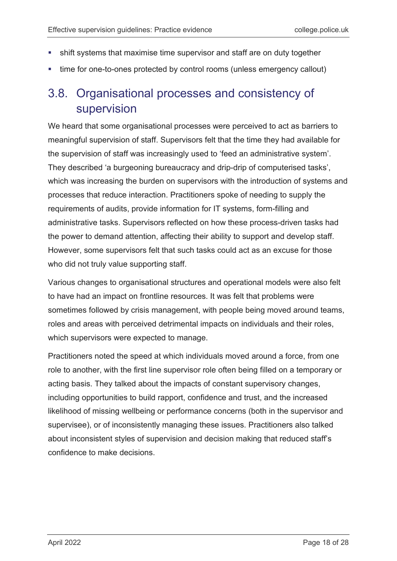- shift systems that maximise time supervisor and staff are on duty together
- time for one-to-ones protected by control rooms (unless emergency callout)

## <span id="page-17-0"></span>3.8. Organisational processes and consistency of supervision

We heard that some organisational processes were perceived to act as barriers to meaningful supervision of staff. Supervisors felt that the time they had available for the supervision of staff was increasingly used to 'feed an administrative system'. They described 'a burgeoning bureaucracy and drip-drip of computerised tasks', which was increasing the burden on supervisors with the introduction of systems and processes that reduce interaction. Practitioners spoke of needing to supply the requirements of audits, provide information for IT systems, form-filling and administrative tasks. Supervisors reflected on how these process-driven tasks had the power to demand attention, affecting their ability to support and develop staff. However, some supervisors felt that such tasks could act as an excuse for those who did not truly value supporting staff.

Various changes to organisational structures and operational models were also felt to have had an impact on frontline resources. It was felt that problems were sometimes followed by crisis management, with people being moved around teams, roles and areas with perceived detrimental impacts on individuals and their roles, which supervisors were expected to manage.

Practitioners noted the speed at which individuals moved around a force, from one role to another, with the first line supervisor role often being filled on a temporary or acting basis. They talked about the impacts of constant supervisory changes, including opportunities to build rapport, confidence and trust, and the increased likelihood of missing wellbeing or performance concerns (both in the supervisor and supervisee), or of inconsistently managing these issues. Practitioners also talked about inconsistent styles of supervision and decision making that reduced staff's confidence to make decisions.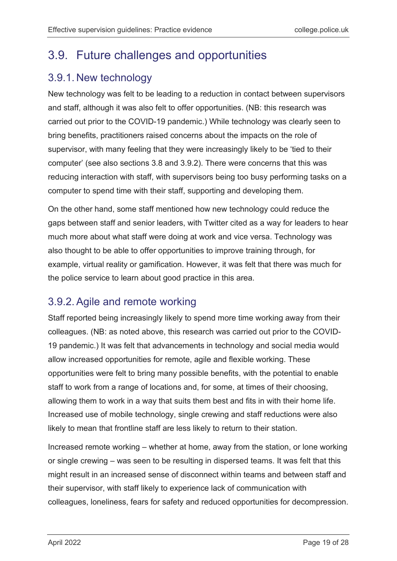## <span id="page-18-0"></span>3.9. Future challenges and opportunities

### <span id="page-18-1"></span>3.9.1. New technology

New technology was felt to be leading to a reduction in contact between supervisors and staff, although it was also felt to offer opportunities. (NB: this research was carried out prior to the COVID-19 pandemic.) While technology was clearly seen to bring benefits, practitioners raised concerns about the impacts on the role of supervisor, with many feeling that they were increasingly likely to be 'tied to their computer' (see also sections 3.8 and 3.9.2). There were concerns that this was reducing interaction with staff, with supervisors being too busy performing tasks on a computer to spend time with their staff, supporting and developing them.

On the other hand, some staff mentioned how new technology could reduce the gaps between staff and senior leaders, with Twitter cited as a way for leaders to hear much more about what staff were doing at work and vice versa. Technology was also thought to be able to offer opportunities to improve training through, for example, virtual reality or gamification. However, it was felt that there was much for the police service to learn about good practice in this area.

### <span id="page-18-2"></span>3.9.2.Agile and remote working

Staff reported being increasingly likely to spend more time working away from their colleagues. (NB: as noted above, this research was carried out prior to the COVID-19 pandemic.) It was felt that advancements in technology and social media would allow increased opportunities for remote, agile and flexible working. These opportunities were felt to bring many possible benefits, with the potential to enable staff to work from a range of locations and, for some, at times of their choosing, allowing them to work in a way that suits them best and fits in with their home life. Increased use of mobile technology, single crewing and staff reductions were also likely to mean that frontline staff are less likely to return to their station.

Increased remote working – whether at home, away from the station, or lone working or single crewing – was seen to be resulting in dispersed teams. It was felt that this might result in an increased sense of disconnect within teams and between staff and their supervisor, with staff likely to experience lack of communication with colleagues, loneliness, fears for safety and reduced opportunities for decompression.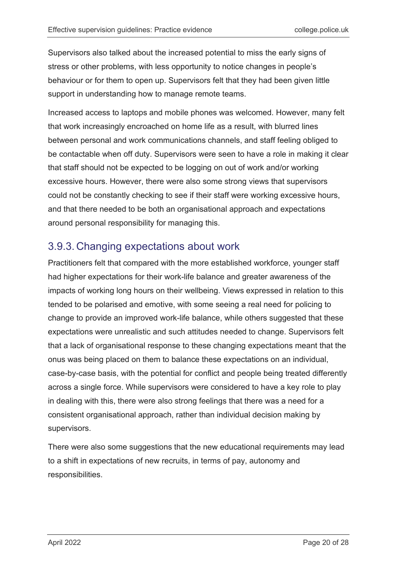Supervisors also talked about the increased potential to miss the early signs of stress or other problems, with less opportunity to notice changes in people's behaviour or for them to open up. Supervisors felt that they had been given little support in understanding how to manage remote teams.

Increased access to laptops and mobile phones was welcomed. However, many felt that work increasingly encroached on home life as a result, with blurred lines between personal and work communications channels, and staff feeling obliged to be contactable when off duty. Supervisors were seen to have a role in making it clear that staff should not be expected to be logging on out of work and/or working excessive hours. However, there were also some strong views that supervisors could not be constantly checking to see if their staff were working excessive hours, and that there needed to be both an organisational approach and expectations around personal responsibility for managing this.

#### <span id="page-19-0"></span>3.9.3. Changing expectations about work

Practitioners felt that compared with the more established workforce, younger staff had higher expectations for their work-life balance and greater awareness of the impacts of working long hours on their wellbeing. Views expressed in relation to this tended to be polarised and emotive, with some seeing a real need for policing to change to provide an improved work-life balance, while others suggested that these expectations were unrealistic and such attitudes needed to change. Supervisors felt that a lack of organisational response to these changing expectations meant that the onus was being placed on them to balance these expectations on an individual, case-by-case basis, with the potential for conflict and people being treated differently across a single force. While supervisors were considered to have a key role to play in dealing with this, there were also strong feelings that there was a need for a consistent organisational approach, rather than individual decision making by supervisors.

There were also some suggestions that the new educational requirements may lead to a shift in expectations of new recruits, in terms of pay, autonomy and responsibilities.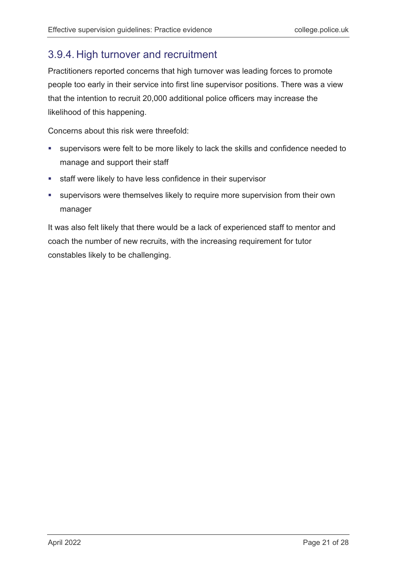### <span id="page-20-0"></span>3.9.4. High turnover and recruitment

Practitioners reported concerns that high turnover was leading forces to promote people too early in their service into first line supervisor positions. There was a view that the intention to recruit 20,000 additional police officers may increase the likelihood of this happening.

Concerns about this risk were threefold:

- supervisors were felt to be more likely to lack the skills and confidence needed to manage and support their staff
- staff were likely to have less confidence in their supervisor
- supervisors were themselves likely to require more supervision from their own manager

It was also felt likely that there would be a lack of experienced staff to mentor and coach the number of new recruits, with the increasing requirement for tutor constables likely to be challenging.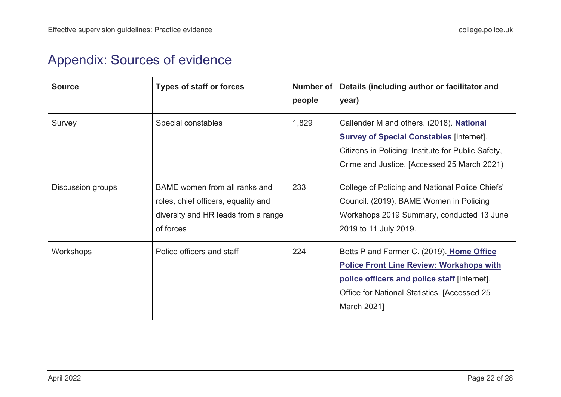## Appendix: Sources of evidence

<span id="page-21-0"></span>

| <b>Source</b>     | <b>Types of staff or forces</b>                                                                                          | Number of<br>people | Details (including author or facilitator and<br>year)                                                                                                                                                       |
|-------------------|--------------------------------------------------------------------------------------------------------------------------|---------------------|-------------------------------------------------------------------------------------------------------------------------------------------------------------------------------------------------------------|
| Survey            | Special constables                                                                                                       | 1,829               | Callender M and others. (2018). National<br><b>Survey of Special Constables</b> [internet].<br>Citizens in Policing; Institute for Public Safety,<br>Crime and Justice. [Accessed 25 March 2021)            |
| Discussion groups | BAME women from all ranks and<br>roles, chief officers, equality and<br>diversity and HR leads from a range<br>of forces | 233                 | College of Policing and National Police Chiefs'<br>Council. (2019). BAME Women in Policing<br>Workshops 2019 Summary, conducted 13 June<br>2019 to 11 July 2019.                                            |
| Workshops         | Police officers and staff                                                                                                | 224                 | Betts P and Farmer C. (2019). Home Office<br><b>Police Front Line Review: Workshops with</b><br>police officers and police staff [internet].<br>Office for National Statistics. [Accessed 25<br>March 2021] |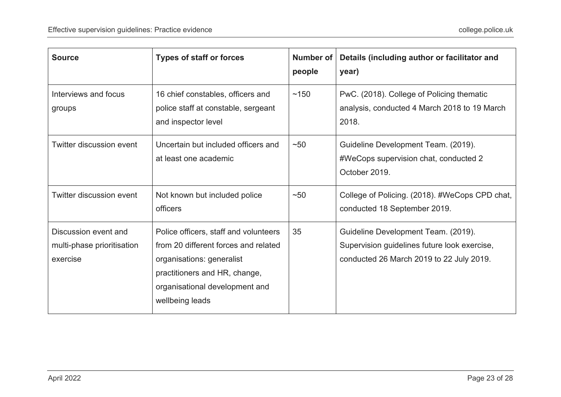| <b>Source</b>                                                  | <b>Types of staff or forces</b>                                                                                                                                                                  | Number of<br>people | Details (including author or facilitator and<br>year)                                                                           |
|----------------------------------------------------------------|--------------------------------------------------------------------------------------------------------------------------------------------------------------------------------------------------|---------------------|---------------------------------------------------------------------------------------------------------------------------------|
| Interviews and focus<br>groups                                 | 16 chief constables, officers and<br>police staff at constable, sergeant<br>and inspector level                                                                                                  | ~150                | PwC. (2018). College of Policing thematic<br>analysis, conducted 4 March 2018 to 19 March<br>2018.                              |
| Twitter discussion event                                       | Uncertain but included officers and<br>at least one academic                                                                                                                                     | $~1$ –50            | Guideline Development Team. (2019).<br>#WeCops supervision chat, conducted 2<br>October 2019.                                   |
| Twitter discussion event                                       | Not known but included police<br>officers                                                                                                                                                        | $~1$ -50            | College of Policing. (2018). #WeCops CPD chat,<br>conducted 18 September 2019.                                                  |
| Discussion event and<br>multi-phase prioritisation<br>exercise | Police officers, staff and volunteers<br>from 20 different forces and related<br>organisations: generalist<br>practitioners and HR, change,<br>organisational development and<br>wellbeing leads | 35                  | Guideline Development Team. (2019).<br>Supervision guidelines future look exercise,<br>conducted 26 March 2019 to 22 July 2019. |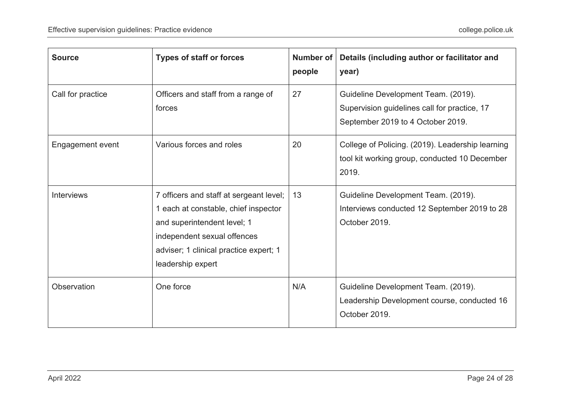| <b>Source</b>     | <b>Types of staff or forces</b>                                                                                                                                                                              | <b>Number of</b><br>people | Details (including author or facilitator and<br>year)                                                                    |
|-------------------|--------------------------------------------------------------------------------------------------------------------------------------------------------------------------------------------------------------|----------------------------|--------------------------------------------------------------------------------------------------------------------------|
| Call for practice | Officers and staff from a range of<br>forces                                                                                                                                                                 | 27                         | Guideline Development Team. (2019).<br>Supervision guidelines call for practice, 17<br>September 2019 to 4 October 2019. |
| Engagement event  | Various forces and roles                                                                                                                                                                                     | 20                         | College of Policing. (2019). Leadership learning<br>tool kit working group, conducted 10 December<br>2019.               |
| <b>Interviews</b> | 7 officers and staff at sergeant level;<br>1 each at constable, chief inspector<br>and superintendent level; 1<br>independent sexual offences<br>adviser; 1 clinical practice expert; 1<br>leadership expert | 13                         | Guideline Development Team. (2019).<br>Interviews conducted 12 September 2019 to 28<br>October 2019.                     |
| Observation       | One force                                                                                                                                                                                                    | N/A                        | Guideline Development Team. (2019).<br>Leadership Development course, conducted 16<br>October 2019.                      |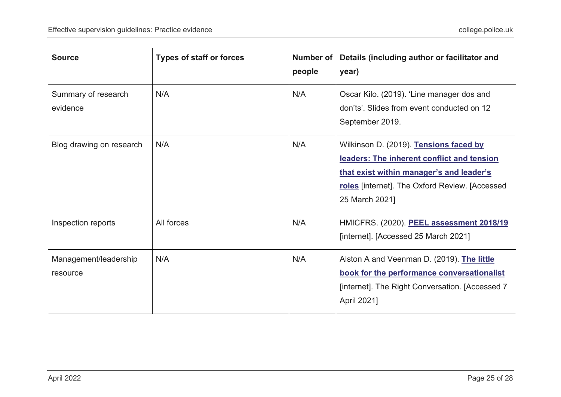| <b>Source</b>                     | <b>Types of staff or forces</b> | Number of<br>people | Details (including author or facilitator and<br>year)                                                                                                                                                |
|-----------------------------------|---------------------------------|---------------------|------------------------------------------------------------------------------------------------------------------------------------------------------------------------------------------------------|
| Summary of research<br>evidence   | N/A                             | N/A                 | Oscar Kilo. (2019). 'Line manager dos and<br>don'ts'. Slides from event conducted on 12<br>September 2019.                                                                                           |
| Blog drawing on research          | N/A                             | N/A                 | Wilkinson D. (2019). Tensions faced by<br>leaders: The inherent conflict and tension<br>that exist within manager's and leader's<br>roles [internet]. The Oxford Review. [Accessed<br>25 March 2021] |
| Inspection reports                | All forces                      | N/A                 | HMICFRS. (2020). PEEL assessment 2018/19<br>[internet]. [Accessed 25 March 2021]                                                                                                                     |
| Management/leadership<br>resource | N/A                             | N/A                 | Alston A and Veenman D. (2019). The little<br>book for the performance conversationalist<br>[internet]. The Right Conversation. [Accessed 7<br>April 2021]                                           |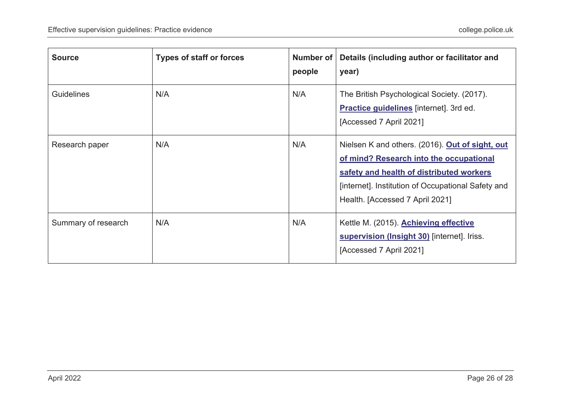| <b>Source</b>       | <b>Types of staff or forces</b> | Number of<br>people | Details (including author or facilitator and<br>year)                                                                                                                                                                           |
|---------------------|---------------------------------|---------------------|---------------------------------------------------------------------------------------------------------------------------------------------------------------------------------------------------------------------------------|
| <b>Guidelines</b>   | N/A                             | N/A                 | The British Psychological Society. (2017).<br><b>Practice guidelines</b> [internet]. 3rd ed.<br>[Accessed 7 April 2021]                                                                                                         |
| Research paper      | N/A                             | N/A                 | Nielsen K and others. (2016). Out of sight, out<br>of mind? Research into the occupational<br>safety and health of distributed workers<br>[internet]. Institution of Occupational Safety and<br>Health. [Accessed 7 April 2021] |
| Summary of research | N/A                             | N/A                 | Kettle M. (2015). Achieving effective<br>supervision (Insight 30) [internet]. Iriss.<br>[Accessed 7 April 2021]                                                                                                                 |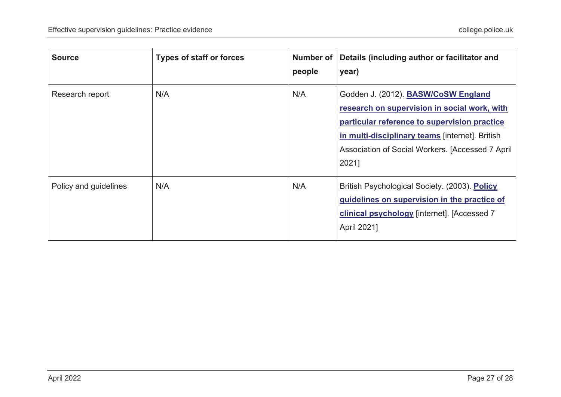| <b>Source</b>         | <b>Types of staff or forces</b> | Number of<br>people | Details (including author or facilitator and<br>year)                                                                                                                                                                                                |
|-----------------------|---------------------------------|---------------------|------------------------------------------------------------------------------------------------------------------------------------------------------------------------------------------------------------------------------------------------------|
| Research report       | N/A                             | N/A                 | Godden J. (2012). BASW/CoSW England<br>research on supervision in social work, with<br>particular reference to supervision practice<br>in multi-disciplinary teams [internet]. British<br>Association of Social Workers. [Accessed 7 April]<br>2021] |
| Policy and guidelines | N/A                             | N/A                 | British Psychological Society. (2003). Policy<br>guidelines on supervision in the practice of<br>clinical psychology [internet]. [Accessed 7<br>April 2021]                                                                                          |